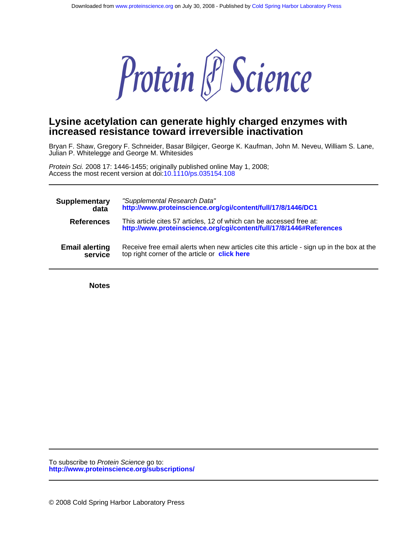

# **increased resistance toward irreversible inactivation Lysine acetylation can generate highly charged enzymes with**

Julian P. Whitelegge and George M. Whitesides Bryan F. Shaw, Gregory F. Schneider, Basar Bilgiçer, George K. Kaufman, John M. Neveu, William S. Lane,

Access the most recent version at doi[:10.1110/ps.035154.108](http://www.proteinscience.org/cgi/doi/10.1110/ps.035154.108) Protein Sci. 2008 17: 1446-1455; originally published online May 1, 2008;

| <b>Supplementary</b>  | "Supplemental Research Data"                                                                                                                |
|-----------------------|---------------------------------------------------------------------------------------------------------------------------------------------|
| data                  | http://www.proteinscience.org/cgi/content/full/17/8/1446/DC1                                                                                |
| <b>References</b>     | This article cites 57 articles, 12 of which can be accessed free at:<br>http://www.proteinscience.org/cgi/content/full/17/8/1446#References |
| <b>Email alerting</b> | Receive free email alerts when new articles cite this article - sign up in the box at the                                                   |
| service               | top right corner of the article or click here                                                                                               |

**Notes**

**<http://www.proteinscience.org/subscriptions/>** To subscribe to Protein Science go to: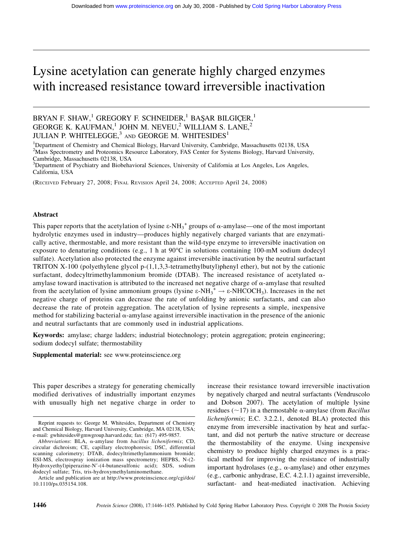# Lysine acetylation can generate highly charged enzymes with increased resistance toward irreversible inactivation

# BRYAN F. SHAW, $^1$  GREGORY F. SCHNEIDER, $^1$  BAŞAR BILGIÇER, $^1$ GEORGE K. KAUFMAN,<sup>1</sup> JOHN M. NEVEU,<sup>2</sup> WILLIAM S. LANE,<sup>2</sup> JULIAN P. WHITELEGGE,<sup>3</sup> AND GEORGE M. WHITESIDES<sup>1</sup>

<sup>1</sup>Department of Chemistry and Chemical Biology, Harvard University, Cambridge, Massachusetts 02138, USA <sup>2</sup>Mass Spectrometry and Proteomics Resource Laboratory, FAS Center for Systems Biology, Harvard University, Cambridge, Massachusetts 02138, USA

<sup>3</sup>Department of Psychiatry and Biobehavioral Sciences, University of California at Los Angeles, Los Angeles, California, USA

(RECEIVED February 27, 2008; FINAL REVISION April 24, 2008; ACCEPTED April 24, 2008)

#### Abstract

This paper reports that the acetylation of lysine  $\varepsilon$ -NH<sub>3</sub><sup>+</sup> groups of  $\alpha$ -amylase—one of the most important hydrolytic enzymes used in industry—produces highly negatively charged variants that are enzymatically active, thermostable, and more resistant than the wild-type enzyme to irreversible inactivation on exposure to denaturing conditions (e.g., 1 h at  $90^{\circ}$ C in solutions containing 100-mM sodium dodecyl sulfate). Acetylation also protected the enzyme against irreversible inactivation by the neutral surfactant TRITON X-100 (polyethylene glycol p-(1,1,3,3-tetramethylbutyl)phenyl ether), but not by the cationic surfactant, dodecyltrimethylammonium bromide (DTAB). The increased resistance of acetylated  $\alpha$ amylase toward inactivation is attributed to the increased net negative charge of  $\alpha$ -amylase that resulted from the acetylation of lysine ammonium groups (lysine  $\varepsilon$ -NH $_3^+$   $\rightarrow \varepsilon$ -NHCOCH<sub>3</sub>). Increases in the net negative charge of proteins can decrease the rate of unfolding by anionic surfactants, and can also decrease the rate of protein aggregation. The acetylation of lysine represents a simple, inexpensive method for stabilizing bacterial  $\alpha$ -amylase against irreversible inactivation in the presence of the anionic and neutral surfactants that are commonly used in industrial applications.

Keywords: amylase; charge ladders; industrial biotechnology; protein aggregation; protein engineering; sodium dodecyl sulfate; thermostability

Supplemental material: see www.proteinscience.org

This paper describes a strategy for generating chemically modified derivatives of industrially important enzymes with unusually high net negative charge in order to increase their resistance toward irreversible inactivation by negatively charged and neutral surfactants (Vendruscolo and Dobson 2007). The acetylation of multiple lysine residues ( $\sim$ 17) in a thermostable  $\alpha$ -amylase (from *Bacillus* licheniformis; E.C. 3.2.2.1, denoted BLA) protected this enzyme from irreversible inactivation by heat and surfactant, and did not perturb the native structure or decrease the thermostability of the enzyme. Using inexpensive chemistry to produce highly charged enzymes is a practical method for improving the resistance of industrially important hydrolases (e.g.,  $\alpha$ -amylase) and other enzymes (e.g., carbonic anhydrase, E.C. 4.2.1.1) against irreversible, surfactant- and heat-mediated inactivation. Achieving

Reprint requests to: George M. Whitesides, Department of Chemistry and Chemical Biology, Harvard University, Cambridge, MA 02138, USA; e-mail: gwhitesides@gmwgroup.harvard.edu; fax: (617) 495-9857.

Abbreviations: BLA, a-amylase from bacillus licheniformis; CD, circular dichroism; CE, capillary electrophoresis; DSC, differential scanning calorimetry; DTAB, dodecyltrimethylammonium bromide; ESI-MS, electrospray ionization mass spectrometry; HEPBS, N-(2- Hydroxyethyl)piperazine-N'-(4-butanesulfonic acid); SDS, sodium dodecyl sulfate; Tris, tris-hydroxymethylaminomethane.

Article and publication are at http://www.proteinscience.org/cgi/doi/ 10.1110/ps.035154.108.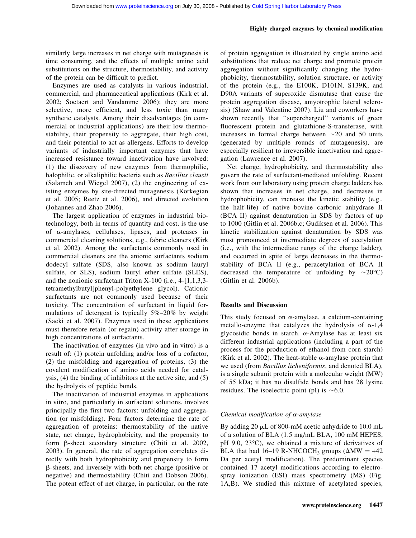#### Highly charged enzymes by chemical modification

similarly large increases in net charge with mutagenesis is time consuming, and the effects of multiple amino acid substitutions on the structure, thermostability, and activity of the protein can be difficult to predict.

Enzymes are used as catalysts in various industrial, commercial, and pharmaceutical applications (Kirk et al. 2002; Soetaert and Vandamme 2006); they are more selective, more efficient, and less toxic than many synthetic catalysts. Among their disadvantages (in commercial or industrial applications) are their low thermostability, their propensity to aggregate, their high cost, and their potential to act as allergens. Efforts to develop variants of industrially important enzymes that have increased resistance toward inactivation have involved: (1) the discovery of new enzymes from thermophilic, halophilic, or alkaliphilic bacteria such as Bacillus clausii (Salameh and Wiegel 2007), (2) the engineering of existing enzymes by site-directed mutagenesis (Korkegian et al. 2005; Reetz et al. 2006), and directed evolution (Johannes and Zhao 2006).

The largest application of enzymes in industrial biotechnology, both in terms of quantity and cost, is the use of  $\alpha$ -amylases, cellulases, lipases, and proteases in commercial cleaning solutions, e.g., fabric cleaners (Kirk et al. 2002). Among the surfactants commonly used in commercial cleaners are the anionic surfactants sodium dodecyl sulfate (SDS, also known as sodium lauryl sulfate, or SLS), sodium lauryl ether sulfate (SLES), and the nonionic surfactant Triton X-100 (i.e., 4-[1,1,3,3 tetramethylbutyl]phenyl-polyethylene glycol). Cationic surfactants are not commonly used because of their toxicity. The concentration of surfactant in liquid formulations of detergent is typically 5%–20% by weight (Saeki et al. 2007). Enzymes used in these applications must therefore retain (or regain) activity after storage in high concentrations of surfactants.

The inactivation of enzymes (in vivo and in vitro) is a result of: (1) protein unfolding and/or loss of a cofactor, (2) the misfolding and aggregation of proteins, (3) the covalent modification of amino acids needed for catalysis, (4) the binding of inhibitors at the active site, and (5) the hydrolysis of peptide bonds.

The inactivation of industrial enzymes in applications in vitro, and particularly in surfactant solutions, involves principally the first two factors: unfolding and aggregation (or misfolding). Four factors determine the rate of aggregation of proteins: thermostability of the native state, net charge, hydrophobicity, and the propensity to form b-sheet secondary structure (Chiti et al. 2002, 2003). In general, the rate of aggregation correlates directly with both hydrophobicity and propensity to form b-sheets, and inversely with both net charge (positive or negative) and thermostability (Chiti and Dobson 2006). The potent effect of net charge, in particular, on the rate

of protein aggregation is illustrated by single amino acid substitutions that reduce net charge and promote protein aggregation without significantly changing the hydrophobicity, thermostability, solution structure, or activity of the protein (e.g., the E100K, D101N, S139K, and D90A variants of superoxide dismutase that cause the protein aggregation disease, amyotrophic lateral sclerosis) (Shaw and Valentine 2007). Liu and coworkers have shown recently that ''supercharged'' variants of green fluorescent protein and glutathione-S-transferase, with increases in formal charge between  $\sim$  20 and 50 units (generated by multiple rounds of mutagenesis), are especially resilient to irreversible inactivation and aggregation (Lawrence et al. 2007).

Net charge, hydrophobicity, and thermostability also govern the rate of surfactant-mediated unfolding. Recent work from our laboratory using protein charge ladders has shown that increases in net charge, and decreases in hydrophobicity, can increase the kinetic stability (e.g., the half-life) of native bovine carbonic anhydrase II (BCA II) against denaturation in SDS by factors of up to 1000 (Gitlin et al. 2006b,c; Gudiksen et al. 2006). This kinetic stabilization against denaturation by SDS was most pronounced at intermediate degrees of acetylation (i.e., with the intermediate rungs of the charge ladder), and occurred in spite of large decreases in the thermostability of BCA II (e.g., peracetylation of BCA II decreased the temperature of unfolding by  $\sim 20^{\circ}$ C) (Gitlin et al. 2006b).

# Results and Discussion

This study focused on  $\alpha$ -amylase, a calcium-containing metallo-enzyme that catalyzes the hydrolysis of  $\alpha$ -1,4 glycosidic bonds in starch.  $\alpha$ -Amylase has at least six different industrial applications (including a part of the process for the production of ethanol from corn starch) (Kirk et al. 2002). The heat-stable  $\alpha$ -amylase protein that we used (from Bacillus licheniformis, and denoted BLA), is a single subunit protein with a molecular weight (MW) of 55 kDa; it has no disulfide bonds and has 28 lysine residues. The isoelectric point (pI) is  $\sim 6.0$ .

# Chemical modification of  $\alpha$ -amylase

By adding 20  $\mu$ L of 800-mM acetic anhydride to 10.0 mL of a solution of BLA (1.5 mg/mL BLA, 100 mM HEPES, pH 9.0, 23°C), we obtained a mixture of derivatives of BLA that had 16–19 R-NHCOCH<sub>3</sub> groups ( $\Delta MW = +42$ ) Da per acetyl modification). The predominant species contained 17 acetyl modifications according to electrospray ionization (ESI) mass spectrometry (MS) (Fig. 1A,B). We studied this mixture of acetylated species,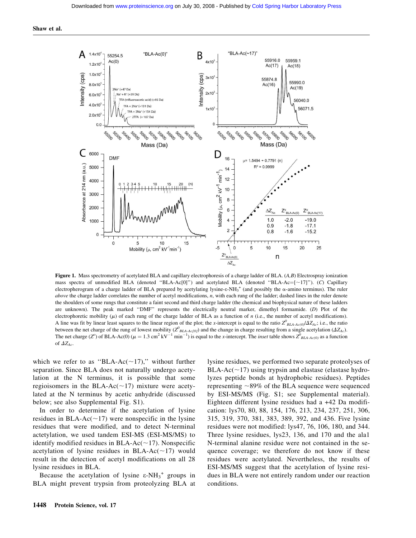

Figure 1. Mass spectrometry of acetylated BLA and capillary electrophoresis of a charge ladder of BLA.  $(A, B)$  Electrospray ionization mass spectra of unmodified BLA (denoted "BLA-Ac[0]") and acetylated BLA (denoted "BLA-Ac= $[-17]$ "). (C) Capillary electropherogram of a charge ladder of BLA prepared by acetylating lysine- $\varepsilon$ -NH<sub>3</sub><sup>+</sup> (and possibly the  $\alpha$ -amino terminus). The ruler above the charge ladder correlates the number of acetyl modifications,  $n$ , with each rung of the ladder; dashed lines in the ruler denote the shoulders of some rungs that constitute a faint second and third charge ladder (the chemical and biophysical nature of these ladders are unknown). The peak marked ''DMF'' represents the electrically neutral marker, dimethyl formamide. (D) Plot of the electrophoretic mobility  $(\mu)$  of each rung of the charge ladder of BLA as a function of n (i.e., the number of acetyl modifications). A line was fit by linear least squares to the linear region of the plot; the x-intercept is equal to the ratio  $Z_{BLAAC(0)}^0/\Delta Z_{Ac}$ ; i.e., the ratio between the net charge of the rung of lowest mobility ( $Z^0_{BAAc(0)}$ ) and the change in charge resulting from a single acetylation ( $\Delta Z_{AC}$ ). The net charge (Z<sup>o</sup>) of BLA-Ac(0) ( $\mu = 1.3 \text{ cm}^2 \text{ kV}^{-1} \text{ min}^{-1}$ ) is equal to the x-intercept. The *inset* table shows  $Z^0_{BLA\text{-}Ac(0)}$  as a function of  $\varDelta Z_{Ac}$ .

which we refer to as "BLA-Ac( $\sim$ 17)," without further separation. Since BLA does not naturally undergo acetylation at the N terminus, it is possible that some regioisomers in the BLA-Ac( $\sim$ 17) mixture were acetylated at the N terminus by acetic anhydride (discussed below; see also Supplemental Fig. S1).

In order to determine if the acetylation of lysine residues in BLA-Ac( $\sim$ 17) were nonspecific in the lysine residues that were modified, and to detect N-terminal actetylation, we used tandem ESI-MS (ESI-MS/MS) to identify modified residues in BLA-Ac( $\sim$ 17). Nonspecific acetylation of lysine residues in BLA-Ac( $\sim$ 17) would result in the detection of acetyl modifications on all 28 lysine residues in BLA.

Because the acetylation of lysine  $\varepsilon$ -NH<sub>3</sub><sup>+</sup> groups in BLA might prevent trypsin from proteolyzing BLA at lysine residues, we performed two separate proteolyses of BLA-Ac( $\sim$ 17) using trypsin and elastase (elastase hydrolyzes peptide bonds at hydrophobic residues). Peptides representing  $\sim$ 89% of the BLA sequence were sequenced by ESI-MS/MS (Fig. S1; see Supplemental material). Eighteen different lysine residues had a +42 Da modification: lys70, 80, 88, 154, 176, 213, 234, 237, 251, 306, 315, 319, 370, 381, 383, 389, 392, and 436. Five lysine residues were not modified: lys47, 76, 106, 180, and 344. Three lysine residues, lys23, 136, and 170 and the ala1 N-terminal alanine residue were not contained in the sequence coverage; we therefore do not know if these residues were acetylated. Nevertheless, the results of ESI-MS/MS suggest that the acetylation of lysine residues in BLA were not entirely random under our reaction conditions.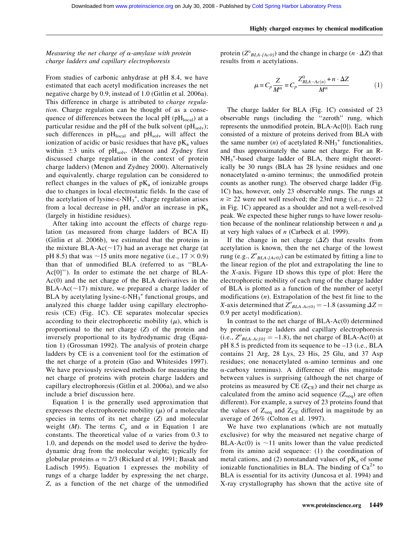# Measuring the net charge of  $\alpha$ -amylase with protein charge ladders and capillary electrophoresis

From studies of carbonic anhydrase at pH 8.4, we have estimated that each acetyl modification increases the net negative charge by 0.9, instead of 1.0 (Gitlin et al. 2006a). This difference in charge is attributed to *charge regula*tion. Charge regulation can be thought of as a consequence of differences between the local pH ( $pH<sub>local</sub>$ ) at a particular residue and the pH of the bulk solvent ( $pH_{solv}$ ); such differences in  $pH<sub>local</sub>$  and  $pH<sub>solv</sub>$  will affect the ionization of acidic or basic residues that have  $pK_a$  values within  $\pm 3$  units of pH<sub>solv</sub>. (Menon and Zydney first discussed charge regulation in the context of protein charge ladders) (Menon and Zydney 2000). Alternatively and equivalently, charge regulation can be considered to reflect changes in the values of  $pK_a$  of ionizable groups due to changes in local electrostatic fields. In the case of the acetylation of lysine- $\varepsilon$ -NH<sub>3</sub><sup>+</sup>, charge regulation arises from a local decrease in pH, and/or an increase in  $pK_a$ (largely in histidine residues).

After taking into account the effects of charge regulation (as measured from charge ladders of BCA II) (Gitlin et al. 2006b), we estimated that the proteins in the mixture BLA-Ac( $\sim$ 17) had an average net charge (at pH 8.5) that was  $\sim$ 15 units more negative (i.e., 17  $\times$  0.9) than that of unmodified BLA (referred to as ''BLA-Ac[0]''). In order to estimate the net charge of BLA-Ac(0) and the net charge of the BLA derivatives in the BLA-Ac( $\sim$ 17) mixture, we prepared a charge ladder of BLA by acetylating lysine- $\varepsilon$ -NH<sub>3</sub><sup>+</sup> functional groups, and analyzed this charge ladder using capillary electrophoresis (CE) (Fig. 1C). CE separates molecular species according to their electrophoretic mobility  $(\mu)$ , which is proportional to the net charge (Z) of the protein and inversely proportional to its hydrodynamic drag (Equation 1) (Grossman 1992). The analysis of protein charge ladders by CE is a convenient tool for the estimation of the net charge of a protein (Gao and Whitesides 1997). We have previously reviewed methods for measuring the net charge of proteins with protein charge ladders and capillary electrophoresis (Gitlin et al. 2006a), and we also include a brief discussion here.

Equation 1 is the generally used approximation that expresses the electrophoretic mobility  $(\mu)$  of a molecular species in terms of its net charge (Z) and molecular weight (*M*). The terms  $C_p$  and  $\alpha$  in Equation 1 are constants. The theoretical value of  $\alpha$  varies from 0.3 to 1.0, and depends on the model used to derive the hydrodynamic drag from the molecular weight; typically for globular proteins  $\alpha \approx 2/3$  (Rickard et al. 1991; Basak and Ladisch 1995). Equation 1 expresses the mobility of rungs of a charge ladder by expressing the net charge, Z, as a function of the net charge of the unmodified

protein ( $Z^{\circ}_{BLA\text{-}A\text{-}c0}$ ) and the change in charge ( $n \cdot \Delta Z$ ) that results from *n* acetylations.

$$
\mu = C_p \frac{Z}{M^{\alpha}} = C_p \frac{Z_{BLA - Ac(n)}^0 + n \cdot \Delta Z}{M^{\alpha}} \tag{1}
$$

The charge ladder for BLA (Fig. 1C) consisted of 23 observable rungs (including the ''zeroth'' rung, which represents the unmodified protein, BLA-Ac[0]). Each rung consisted of a mixture of proteins derived from BLA with the same number  $(n)$  of acetylated R-NH<sub>3</sub><sup>+</sup> functionalities, and thus approximately the same net charge. For an R-NH<sub>3</sub><sup>+</sup>-based charge ladder of BLA, there might theoretically be 30 rungs (BLA has 28 lysine residues and one nonacetylated  $\alpha$ -amino terminus; the unmodified protein counts as another rung). The observed charge ladder (Fig. 1C) has, however, only 23 observable rungs. The rungs at  $n \geq 22$  were not well resolved; the 23rd rung (i.e.,  $n = 22$ ) in Fig. 1C) appeared as a shoulder and not a well-resolved peak. We expected these higher rungs to have lower resolution because of the nonlinear relationship between n and  $\mu$ at very high values of  $n$  (Carbeck et al. 1999).

If the change in net charge  $(\Delta Z)$  that results from acetylation is known, then the net charge of the lowest rung (e.g.,  $Z^{\circ}_{BLA\text{-}[Aco]}$ ) can be estimated by fitting a line to the linear region of the plot and extrapolating the line to the X-axis. Figure 1D shows this type of plot: Here the electrophoretic mobility of each rung of the charge ladder of BLA is plotted as a function of the number of acetyl modifications  $(n)$ . Extrapolation of the best fit line to the X-axis determined that  $Z_{BLA-AC(0)}^{\circ} = -1.8$  (assuming  $\Delta Z =$ 0.9 per acetyl modification).

In contrast to the net charge of BLA-Ac(0) determined by protein charge ladders and capillary electrophoresis (i.e.,  $Z^{\circ}_{BLA-Ac[0]} = -1.8$ ), the net charge of BLA-Ac(0) at pH 8.5 is predicted from its sequence to be –13 (i.e., BLA contains 21 Arg, 28 Lys, 23 His, 25 Glu, and 37 Asp residues; one nonacetylated  $\alpha$ -amino terminus and one  $\alpha$ -carboxy terminus). A difference of this magnitude between values is surprising (although the net charge of proteins as measured by CE  $(Z_{\text{CE}})$  and their net charge as calculated from the amino acid sequence  $(Z_{seq})$  are often different). For example, a survey of 23 proteins found that the values of  $Z_{\text{seq}}$  and  $Z_{\text{CE}}$  differed in magnitude by an average of 26% (Colton et al. 1997).

We have two explanations (which are not mutually exclusive) for why the measured net negative charge of BLA-Ac(0) is  $\sim$ 11 units lower than the value predicted from its amino acid sequence: (1) the coordination of metal cations, and (2) nonstandard values of  $pK_a$  of some ionizable functionalities in BLA. The binding of  $Ca^{2+}$  to BLA is essential for its activity (Juncosa et al. 1994) and X-ray crystallography has shown that the active site of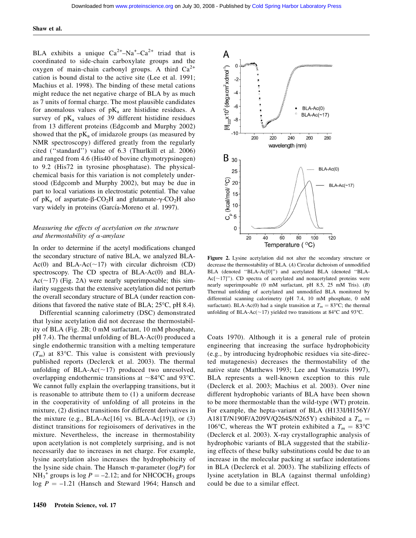BLA exhibits a unique  $Ca^{2+}-Na^{2} - Ca^{2+}$  triad that is coordinated to side-chain carboxylate groups and the oxygen of main-chain carbonyl groups. A third  $Ca^{2+}$ cation is bound distal to the active site (Lee et al. 1991; Machius et al. 1998). The binding of these metal cations might reduce the net negative charge of BLA by as much as 7 units of formal charge. The most plausible candidates for anomalous values of  $pK_a$  are histidine residues. A survey of  $pK_a$  values of 39 different histidine residues from 13 different proteins (Edgcomb and Murphy 2002) showed that the  $pK_a$  of imidazole groups (as measured by NMR spectroscopy) differed greatly from the regularly cited (''standard'') value of 6.3 (Thurlkill et al. 2006) and ranged from 4.6 (His40 of bovine chymotrypsinogen) to 9.2 (His72 in tyrosine phosphatase). The physicalchemical basis for this variation is not completely understood (Edgcomb and Murphy 2002), but may be due in part to local variations in electrostatic potential. The value of  $pK_a$  of aspartate- $\beta$ -CO<sub>2</sub>H and glutamate- $\gamma$ -CO<sub>2</sub>H also vary widely in proteins (García-Moreno et al. 1997).

# Measuring the effects of acetylation on the structure and thermostability of  $\alpha$ -amylase

In order to determine if the acetyl modifications changed the secondary structure of native BLA, we analyzed BLA-Ac(0) and BLA-Ac( $\sim$ 17) with circular dichroism (CD) spectroscopy. The CD spectra of BLA-Ac(0) and BLA- $Ac(\sim 17)$  (Fig. 2A) were nearly superimposable; this similarity suggests that the extensive acetylation did not perturb the overall secondary structure of BLA (under reaction conditions that favored the native state of BLA; 25°C, pH 8.4).

Differential scanning calorimetry (DSC) demonstrated that lysine acetylation did not decrease the thermostability of BLA (Fig. 2B; 0 mM surfactant, 10 mM phosphate, pH 7.4). The thermal unfolding of BLA-Ac(0) produced a single endothermic transition with a melting temperature  $(T_m)$  at 83°C. This value is consistent with previously published reports (Declerck et al. 2003). The thermal unfolding of BLA-Ac( $\sim$ 17) produced two unresolved, overlapping endothermic transitions at  $\sim 84^{\circ}$ C and 93 $^{\circ}$ C. We cannot fully explain the overlapping transitions, but it is reasonable to attribute them to (1) a uniform decrease in the cooperativity of unfolding of all proteins in the mixture, (2) distinct transitions for different derivatives in the mixture (e.g., BLA-Ac $[16]$  vs. BLA-Ac $[19]$ ), or  $(3)$ distinct transitions for regioisomers of derivatives in the mixture. Nevertheless, the increase in thermostability upon acetylation is not completely surprising, and is not necessarily due to increases in net charge. For example, lysine acetylation also increases the hydrophobicity of the lysine side chain. The Hansch  $\pi$ -parameter (logP) for  $NH_3^+$  groups is log  $P = -2.12$ ; and for NHCOCH<sub>3</sub> groups  $log P = -1.21$  (Hansch and Steward 1964; Hansch and



Figure 2. Lysine acetylation did not alter the secondary structure or decrease the thermostability of BLA. (A) Circular dichroism of unmodified BLA (denoted ''BLA-Ac[0]'') and acetylated BLA (denoted ''BLA- $Ac[\sim17]$ "). CD spectra of acetylated and nonacetylated proteins were nearly superimposable (0 mM surfactant, pH 8.5, 25 mM Tris). (B) Thermal unfolding of acetylated and unmodified BLA monitored by differential scanning calorimetry (pH 7.4, 10 mM phosphate, 0 mM surfactant). BLA-Ac(0) had a single transition at  $T_m = 83^{\circ}$ C; the thermal unfolding of BLA-Ac( $\sim$ 17) yielded two transitions at 84°C and 93°C.

Coats 1970). Although it is a general rule of protein engineering that increasing the surface hydrophobicity (e.g., by introducing hydrophobic residues via site-directed mutagenesis) decreases the thermostability of the native state (Matthews 1993; Lee and Vasmatzis 1997), BLA represents a well-known exception to this rule (Declerck et al. 2003; Machius et al. 2003). Over nine different hydrophobic variants of BLA have been shown to be more thermostable than the wild-type (WT) protein. For example, the hepta-variant of BLA (H133I/H156Y/ A181T/N190F/A209V/Q264S/N265Y) exhibited a  $T_m =$ 106°C, whereas the WT protein exhibited a  $T_m = 83$ °C (Declerck et al. 2003). X-ray crystallographic analysis of hydrophobic variants of BLA suggested that the stabilizing effects of these bulky substitutions could be due to an increase in the molecular packing at surface indentations in BLA (Declerck et al. 2003). The stabilizing effects of lysine acetylation in BLA (against thermal unfolding) could be due to a similar effect.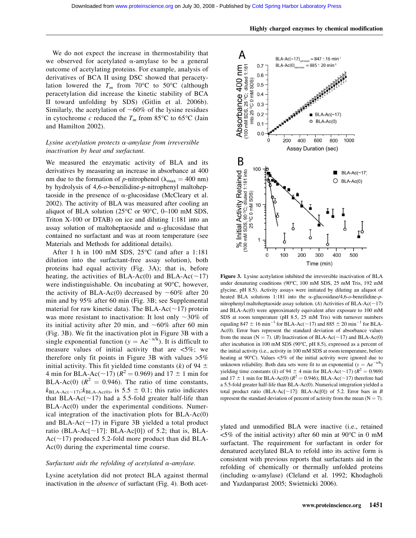We do not expect the increase in thermostability that we observed for acetylated  $\alpha$ -amylase to be a general outcome of acetylating proteins. For example, analysis of derivatives of BCA II using DSC showed that peracetylation lowered the  $T_m$  from 70°C to 50°C (although peracetylation did increase the kinetic stability of BCA II toward unfolding by SDS) (Gitlin et al. 2006b). Similarly, the acetylation of  $~60\%$  of the lysine residues in cytochrome c reduced the  $T_m$  from 85°C to 65°C (Jain and Hamilton 2002).

# Lysine acetylation protects  $\alpha$ -amylase from irreversible inactivation by heat and surfactant.

We measured the enzymatic activity of BLA and its derivatives by measuring an increase in absorbance at 400 nm due to the formation of p-nitrophenol ( $\lambda_{\text{max}} = 400 \text{ nm}$ ) by hydrolysis of 4,6-o-benzilidine-p-nitrophenyl maltoheptaoside in the presence of  $\alpha$ -glucosidase (McCleary et al. 2002). The activity of BLA was measured after cooling an aliquot of BLA solution ( $25^{\circ}$ C or  $90^{\circ}$ C, 0–100 mM SDS, Triton X-100 or DTAB) on ice and diluting 1:181 into an assay solution of maltoheptaoside and  $\alpha$ -glucosidase that contained no surfactant and was at room temperature (see Materials and Methods for additional details).

After 1 h in 100 mM SDS, 25°C (and after a 1:181 dilution into the surfactant-free assay solution), both proteins had equal activity (Fig. 3A); that is, before heating, the activities of BLA-Ac(0) and BLA-Ac( $\sim$ 17) were indistinguishable. On incubating at 90°C, however, the activity of BLA-Ac(0) decreased by  $\sim 60\%$  after 20 min and by 95% after 60 min (Fig. 3B; see Supplemental material for raw kinetic data). The BLA-Ac( $\sim$ 17) protein was more resistant to inactivation: It lost only  $\sim$ 30% of its initial activity after 20 min, and  $~60\%$  after 60 min (Fig. 3B). We fit the inactivation plot in Figure 3B with a single exponential function ( $y = Ae^{-x/k}$ ). It is difficult to measure values of initial activity that are  $\langle 5\%;$  we therefore only fit points in Figure 3B with values >5% initial activity. This fit yielded time constants (k) of 94  $\pm$ 4 min for BLA-Ac( $\sim$ 17) ( $R^2$  = 0.969) and 17  $\pm$  1 min for BLA-Ac(0) ( $R^2 = 0.946$ ). The ratio of time constants,  $k_{\text{BLA-Ac}(\sim 17)}$ : $k_{\text{BLA-Ac}(0)}$ , is 5.5  $\pm$  0.1; this ratio indicates that BLA-Ac( $\sim$ 17) had a 5.5-fold greater half-life than BLA-Ac(0) under the experimental conditions. Numerical integration of the inactivation plots for BLA-Ac(0) and BLA-Ac( $\sim$ 17) in Figure 3B yielded a total product ratio (BLA-Ac $[\sim]$ 17]: BLA-Ac $[0]$ ) of 5.2; that is, BLA- $Ac(\sim 17)$  produced 5.2-fold more product than did BLA-Ac(0) during the experimental time course.

# Surfactant aids the refolding of acetylated  $\alpha$ -amylase.

Lysine acetylation did not protect BLA against thermal inactivation in the *absence* of surfactant (Fig. 4). Both acet-



Figure 3. Lysine acetylation inhibited the irreversible inactivation of BLA under denaturing conditions (90°C, 100 mM SDS, 25 mM Tris, 192 mM glycine, pH 8.5). Activity assays were initiated by diluting an aliquot of heated BLA solutions 1:181 into the  $\alpha$ -glucosidase/4,6-o-benzilidine-pnitrophenyl maltoheptaoside assay solution. (A) Activities of BLA-Ac( $\sim$ 17) and BLA-Ac(0) were approximately equivalent after exposure to 100 mM SDS at room temperature (pH 8.5, 25 mM Tris) with turnover numbers equaling 847  $\pm$  16 min<sup>-1</sup> for BLA-Ac( $\sim$ 17) and 885  $\pm$  20 min<sup>-1</sup> for BLA-Ac(0). Error bars represent the standard deviation of absorbance values from the mean (N = 7). (B) Inactivation of BLA-Ac( $\sim$ 17) and BLA-Ac(0) after incubation in 100 mM SDS (90°C, pH 8.5), expressed as a percent of the initial activity (i.e., activity in 100 mM SDS at room temperature, before heating at 90°C). Values <5% of the initial activity were ignored due to unknown reliability. Both data sets were fit to an exponential  $(y = Ae^{-x/k})$ yielding time constants (k) of 94  $\pm$  4 min for BLA-Ac(~17) ( $R^2 = 0.969$ ) and 17  $\pm$  1 min for BLA-Ac(0) ( $R^2$  = 0.946); BLA-Ac(~17) therefore had a 5.5-fold greater half-life than BLA-Ac(0). Numerical integration yielded a total product ratio (BLA-Ac[ $\sim$ 17]: BLA-Ac[0]) of 5.2. Error bars in B represent the standard deviation of percent of activity from the mean  $(N = 7)$ .

ylated and unmodified BLA were inactive (i.e., retained  $\leq$ 5% of the initial activity) after 60 min at 90°C in 0 mM surfactant. The requirement for surfactant in order for denatured acetylated BLA to refold into its active form is consistent with previous reports that surfactants aid in the refolding of chemically or thermally unfolded proteins (including  $\alpha$ -amylase) (Cleland et al. 1992; Khodagholi and Yazdanparast 2005; Swietnicki 2006).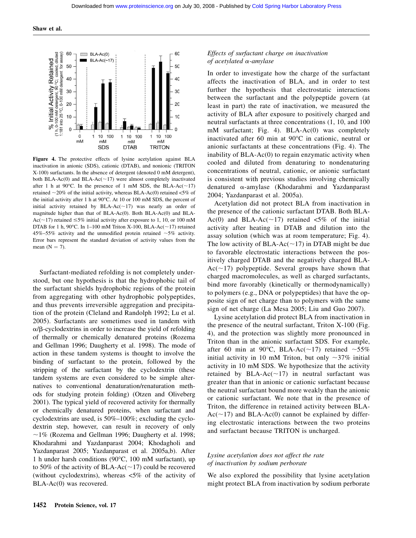

Figure 4. The protective effects of lysine acetylation against BLA inactivation in anionic (SDS), cationic (DTAB), and nonionic (TRITON X-100) surfactants. In the absence of detergent (denoted 0 mM detergent), both BLA-Ac(0) and BLA-Ac( $\sim$ 17) were almost completely inactivated after 1 h at 90°C. In the presence of 1 mM SDS, the BLA-Ac( $\sim$ 17) retained  $\sim$ 20% of the initial activity, whereas BLA-Ac(0) retained <5% of the initial activity after 1 h at 90°C. At 10 or 100 mM SDS, the percent of initial activity retained by BLA-Ac( $\sim$ 17) was nearly an order of magnitude higher than that of BLA-Ac(0). Both BLA-Ac(0) and BLA-Ac( $\sim$ 17) retained  $\leq$ 5% initial activity after exposure to 1, 10, or 100 mM DTAB for 1 h, 90°C. In 1–100 mM Triton X-100, BLA-Ac( $\sim$ 17) retained 45%–55% activity and the unmodified protein retained  $\sim$ 5% activity. Error bars represent the standard deviation of activity values from the mean  $(N = 7)$ .

Surfactant-mediated refolding is not completely understood, but one hypothesis is that the hydrophobic tail of the surfactant shields hydrophobic regions of the protein from aggregating with other hydrophobic polypeptides, and thus prevents irreversible aggregation and precipitation of the protein (Cleland and Randolph 1992; Lu et al. 2005). Surfactants are sometimes used in tandem with  $\alpha/\beta$ -cyclodextrins in order to increase the yield of refolding of thermally or chemically denatured proteins (Rozema and Gellman 1996; Daugherty et al. 1998). The mode of action in these tandem systems is thought to involve the binding of surfactant to the protein, followed by the stripping of the surfactant by the cyclodextrin (these tandem systems are even considered to be simple alternatives to conventional denaturation/renaturation methods for studying protein folding) (Otzen and Oliveberg 2001). The typical yield of recovered activity for thermally or chemically denatured proteins, when surfactant and cyclodextrins are used, is 50%–100%; excluding the cyclodextrin step, however, can result in recovery of only  $\sim$ 1% (Rozema and Gellman 1996; Daugherty et al. 1998; Khodarahmi and Yazdanparast 2004; Khodagholi and Yazdanparast 2005; Yazdanparast et al. 2005a,b). After 1 h under harsh conditions (90°C, 100 mM surfactant), up to 50% of the activity of BLA-Ac( $\sim$ 17) could be recovered (without cyclodextrins), whereas <5% of the activity of BLA-Ac(0) was recovered.

# Effects of surfactant charge on inactivation of acetylated  $\alpha$ -amylase

In order to investigate how the charge of the surfactant affects the inactivation of BLA, and in order to test further the hypothesis that electrostatic interactions between the surfactant and the polypeptide govern (at least in part) the rate of inactivation, we measured the activity of BLA after exposure to positively charged and neutral surfactants at three concentrations (1, 10, and 100 mM surfactant; Fig. 4). BLA-Ac(0) was completely inactivated after 60 min at 90°C in cationic, neutral or anionic surfactants at these concentrations (Fig. 4). The inability of BLA-Ac(0) to regain enzymatic activity when cooled and diluted from denaturing to nondenaturing concentrations of neutral, cationic, or anionic surfactant is consistent with previous studies involving chemically denatured a-amylase (Khodarahmi and Yazdanparast 2004; Yazdanparast et al. 2005a).

Acetylation did not protect BLA from inactivation in the presence of the cationic surfactant DTAB. Both BLA-Ac(0) and BLA-Ac( $\sim$ 17) retained <5% of the initial activity after heating in DTAB and dilution into the assay solution (which was at room temperature; Fig. 4). The low activity of BLA-Ac( $\sim$ 17) in DTAB might be due to favorable electrostatic interactions between the positively charged DTAB and the negatively charged BLA- $Ac(\sim 17)$  polypeptide. Several groups have shown that charged macromolecules, as well as charged surfactants, bind more favorably (kinetically or thermodynamically) to polymers (e.g., DNA or polypeptides) that have the opposite sign of net charge than to polymers with the same sign of net charge (La Mesa 2005; Liu and Guo 2007).

Lysine acetylation did protect BLA from inactivation in the presence of the neutral surfactant, Triton X-100 (Fig. 4), and the protection was slightly more pronounced in Triton than in the anionic surfactant SDS. For example, after 60 min at 90°C, BLA-Ac( $\sim$ 17) retained  $\sim$ 55% initial activity in 10 mM Triton, but only  $\sim$ 37% initial activity in 10 mM SDS. We hypothesize that the activity retained by BLA-Ac( $\sim$ 17) in neutral surfactant was greater than that in anionic or cationic surfactant because the neutral surfactant bound more weakly than the anionic or cationic surfactant. We note that in the presence of Triton, the difference in retained activity between BLA- $Ac(\sim17)$  and BLA-Ac(0) cannot be explained by differing electrostatic interactions between the two proteins and surfactant because TRITON is uncharged.

# Lysine acetylation does not affect the rate of inactivation by sodium perborate

We also explored the possibility that lysine acetylation might protect BLA from inactivation by sodium perborate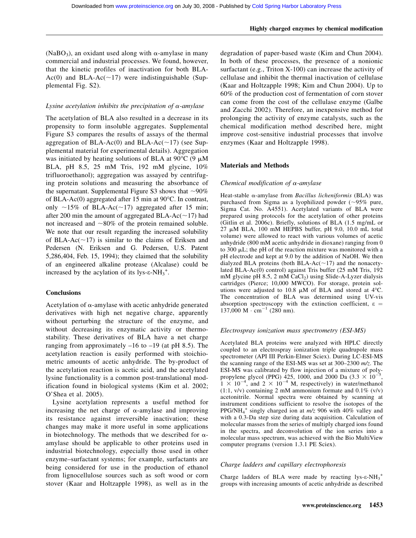#### Highly charged enzymes by chemical modification

(NaBO<sub>3</sub>), an oxidant used along with  $\alpha$ -amylase in many commercial and industrial processes. We found, however, that the kinetic profiles of inactivation for both BLA-Ac(0) and BLA-Ac( $\sim$ 17) were indistinguishable (Supplemental Fig. S2).

# Lysine acetylation inhibits the precipitation of  $\alpha$ -amylase

The acetylation of BLA also resulted in a decrease in its propensity to form insoluble aggregates. Supplemental Figure S3 compares the results of assays of the thermal aggregation of BLA-Ac(0) and BLA-Ac( $\sim$ 17) (see Supplemental material for experimental details). Aggregation was initiated by heating solutions of BLA at 90 $\degree$ C (9  $\mu$ M BLA, pH 8.5, 25 mM Tris, 192 mM glycine, 10% trifluoroethanol); aggregation was assayed by centrifuging protein solutions and measuring the absorbance of the supernatant. Supplemental Figure S3 shows that  $\sim 90\%$ of BLA-Ac(0) aggregated after 15 min at 90°C. In contrast, only  $\sim$ 15% of BLA-Ac( $\sim$ 17) aggregated after 15 min; after 200 min the amount of aggregated BLA-Ac( $\sim$ 17) had not increased and  $\sim 80\%$  of the protein remained soluble. We note that our result regarding the increased solubility of BLA-Ac( $\sim$ 17) is similar to the claims of Eriksen and Pedersen (N. Eriksen and G. Pedersen, U.S. Patent 5,286,404, Feb. 15, 1994); they claimed that the solubility of an engineered alkaline protease (Alcalase) could be increased by the acylation of its lys- $\varepsilon$ -NH<sub>3</sub><sup>+</sup>.

#### **Conclusions**

Acetylation of  $\alpha$ -amylase with acetic anhydride generated derivatives with high net negative charge, apparently without perturbing the structure of the enzyme, and without decreasing its enzymatic activity or thermostability. These derivatives of BLA have a net charge ranging from approximately  $-16$  to  $-19$  (at pH 8.5). The acetylation reaction is easily performed with stoichiometric amounts of acetic anhydride. The by-product of the acetylation reaction is acetic acid, and the acetylated lysine functionality is a common post-translational modification found in biological systems (Kim et al. 2002; O'Shea et al. 2005).

Lysine acetylation represents a useful method for increasing the net charge of  $\alpha$ -amylase and improving its resistance against irreversible inactivation; these changes may make it more useful in some applications in biotechnology. The methods that we described for  $\alpha$ amylase should be applicable to other proteins used in industrial biotechnology, especially those used in other enzyme–surfactant systems; for example, surfactants are being considered for use in the production of ethanol from lignocellulose sources such as soft wood or corn stover (Kaar and Holtzapple 1998), as well as in the degradation of paper-based waste (Kim and Chun 2004). In both of these processes, the presence of a nonionic surfactant (e.g., Triton X-100) can increase the activity of cellulase and inhibit the thermal inactivation of cellulase (Kaar and Holtzapple 1998; Kim and Chun 2004). Up to 60% of the production cost of fermentation of corn stover can come from the cost of the cellulase enzyme (Galbe and Zacchi 2002). Therefore, an inexpensive method for prolonging the activity of enzyme catalysts, such as the chemical modification method described here, might improve cost-sensitive industrial processes that involve enzymes (Kaar and Holtzapple 1998).

## Materials and Methods

# Chemical modification of  $\alpha$ -amylase

Heat-stable  $\alpha$ -amylase from *Bacillus licheniformis* (BLA) was purchased from Sigma as a lyophilized powder  $(\sim)5\%$  pure, Sigma Cat. No. A4551). Acetylated variants of BLA were prepared using protocols for the acetylation of other proteins (Gitlin et al. 2006c). Briefly, solutions of BLA (1.5 mg/mL or  $27 \mu M$  BLA, 100 mM HEPBS buffer, pH 9.0, 10.0 mL total volume) were allowed to react with various volumes of acetic anhydride (800 mM acetic anhydride in dioxane) ranging from 0 to 300  $\mu$ L; the pH of the reaction mixture was monitored with a pH electrode and kept at 9.0 by the addition of NaOH. We then dialyzed BLA proteins (both BLA-Ac( $\sim$ 17) and the nonacetylated BLA-Ac(0) control) against Tris buffer (25 mM Tris, 192 mM glycine pH  $8.5$ ,  $2 \text{ mM } \text{CaCl}_2$ ) using Slide-A-Lyzer dialysis cartridges (Pierce; 10,000 MWCO). For storage, protein solutions were adjusted to 10.8  $\mu$ M of BLA and stored at 4°C. The concentration of BLA was determined using UV-vis absorption spectroscopy with the extinction coefficient,  $\varepsilon =$  $137,000 \text{ M} \cdot \text{cm}^{-1}$  (280 nm).

#### Electrospray ionization mass spectrometry (ESI-MS)

Acetylated BLA proteins were analyzed with HPLC directly coupled to an electrospray ionization triple quadrupole mass spectrometer (API III Perkin-Elmer Sciex). During LC-ESI-MS the scanning range of the ESI-MS was set at 300–2300 m/z. The ESI-MS was calibrated by flow injection of a mixture of polypropylene glycol (PPG)  $\frac{425}{100}$ , 1000, and 2000 Da  $(3.3 \times 10^{-5}, 1 \times 10^{-4}, \text{ and } 2 \times 10^{-4} \text{ M}, \text{ respectively})$  in water/methanol  $(1:1, v/v)$  containing 2 mM ammonium formate and 0.1%  $(v/v)$ acetonitrile. Normal spectra were obtained by scanning at instrument conditions sufficient to resolve the isotopes of the PPG/NH<sub>4</sub><sup>+</sup> singly charged ion at  $m/z$  906 with 40% valley and with a 0.3-Da step size during data acquisition. Calculation of molecular masses from the series of multiply charged ions found in the spectra, and deconvolution of the ion series into a molecular mass spectrum, was achieved with the Bio MultiView computer programs (version 1.3.1 PE Sciex).

# Charge ladders and capillary electrophoresis

Charge ladders of BLA were made by reacting  $lys-\varepsilon-NH_3^+$ groups with increasing amounts of acetic anhydride as described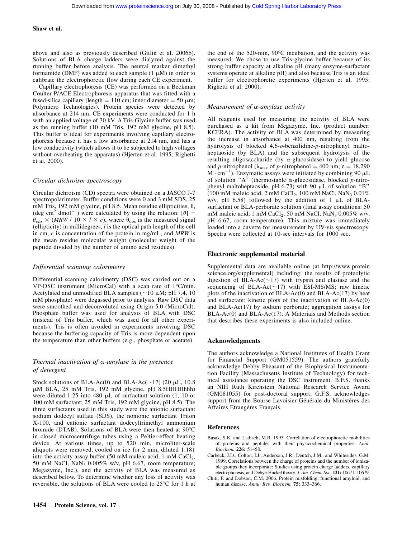above and also as previously described (Gitlin et al. 2006b). Solutions of BLA charge ladders were dialyzed against the running buffer before analysis. The neutral marker dimethyl formamide (DMF) was added to each sample  $(1 \mu M)$  in order to calibrate the electrophoretic flow during each CE experiment.

Capillary electrophoresis (CE) was performed on a Beckman Coulter P/ACE Electrophoresis apparatus that was fitted with a fused-silica capillary (length  $= 110$  cm; inner diameter  $= 50 \mu m$ ; Polymicro Technologies). Protein species were detected by absorbance at 214 nm. CE experiments were conducted for 1 h with an applied voltage of 30 kV. A Tris-Glycine buffer was used as the running buffer (10 mM Tris, 192 mM glycine, pH 8.5). This buffer is ideal for experiments involving capillary electrophoresis because it has a low absorbance at 214 nm, and has a low conductivity (which allows it to be subjected to high voltages without overheating the apparatus) (Hjerten et al. 1995; Righetti et al. 2000).

# Circular dichroism spectroscopy

Circular dichroism (CD) spectra were obtained on a JASCO J-7 spectropolarimeter. Buffer conditions were 0 and 3 mM SDS, 25 mM Tris, 192 mM glycine, pH 8.5. Mean residue ellipticities,  $\theta$ , (deg cm<sup>2</sup> dmol<sup>-1</sup>) were calculated by using the relation: [ $\theta$ ] =  $\theta_{obs} \times (MRW / 10 \times l \times c)$ , where  $\theta_{obs}$  is the measured signal (ellipticity) in millidegrees,  $l$  is the optical path length of the cell in cm,  $c$  is concentration of the protein in mg/mL, and MRW is the mean residue molecular weight (molecular weight of the peptide divided by the number of amino acid residues).

#### Differential scanning calorimetry

Differential scanning calorimetry (DSC) was carried out on a VP-DSC instrument (MicroCal) with a scan rate of 1°C/min. Acetylated and unmodified BLA samples ( $\sim$ 10  $\mu$ M; pH 7.4, 10 mM phosphate) were degassed prior to analysis. Raw DSC data were smoothed and deconvoluted using Origin 5.0 (MicroCal). Phosphate buffer was used for analysis of BLA with DSC (instead of Tris buffer, which was used for all other experiments). Tris is often avoided in experiments involving DSC because the buffering capacity of Tris is more dependent upon the temperature than other buffers (e.g., phosphate or acetate).

# Thermal inactivation of  $\alpha$ -amylase in the presence of detergent

Stock solutions of BLA-Ac(0) and BLA-Ac( $\sim$ 17) (20 µL, 10.8  $\mu$ M BLA, 25 mM Tris, 192 mM glycine, pH 8.5HHHHhhh) were diluted 1:25 into 480  $\mu$ L of surfactant solution (1, 10 or 100 mM surfactant; 25 mM Tris, 192 mM glycine, pH 8.5). The three surfactants used in this study were the anionic surfactant sodium dodecyl sulfate (SDS), the nonionic surfactant Triton X-100, and cationic surfactant dodecyltrimethyl ammonium bromide (DTAB). Solutions of BLA were then heated at 90°C in closed microcentrifuge tubes using a Peltier-effect heating device. At various times, up to 520 min, microliter-scale aliquots were removed, cooled on ice for 2 min, diluted 1:181 into the activity assay buffer  $(50 \text{ mM maleic acid}, 1 \text{ mM CaCl}_2)$ , 50 mM NaCl, NaN<sub>3</sub> 0.005% w/v, pH 6.67, room temperature; Megazyme, Inc.), and the activity of BLA was measured as described below. To determine whether any loss of activity was reversible, the solutions of BLA were cooled to 25°C for 1 h at

#### Measurement of  $\alpha$ -amylase activity

All reagents used for measuring the activity of BLA were purchased as a kit from Megazyme, Inc. (product number: KCERA). The activity of BLA was determined by measuring the increase in absorbance at 400 nm, resulting from the hydrolysis of blocked 4,6-o-benzilidine-p-nitrophenyl maltoheptaoside (by BLA) and the subsequent hydrolysis of the resulting oligosaccharide (by  $\alpha$ -glucosidase) to yield glucose and p-nitrophenol ( $\lambda_{\text{max}}$  of p-nitrophenol = 400 nm;  $\epsilon$  = 18,290  $M \cdot cm^{-1}$ ). Enzymatic assays were initiated by combining 90  $\mu$ L of solution "A" (thermostable  $\alpha$ -glucosidase, blocked *p*-nitrophenyl maltoheptaoside, pH 6.73) with 90 mL of solution ''B'' (100 mM maleic acid,  $2 \text{ mM CaCl}_2$ , 100 mM NaCl, NaN<sub>3</sub> 0.01%) w/v, pH  $6.58$ ) followed by the addition of 1  $\mu$ L of BLAsurfactant or BLA-perborate solution (final assay conditions: 50 mM maleic acid, 1 mM CaCl<sub>2</sub>, 50 mM NaCl, NaN<sub>3</sub> 0.005% w/v, pH 6.67, room temperature). This mixture was immediately loaded into a cuvette for measurement by UV-vis spectroscopy. Spectra were collected at 10-sec intervals for 1000 sec.

#### Electronic supplemental material

Supplemental data are available online (at http://www.protein science.org/supplemental) including: the results of proteolytic digestion of BLA-Ac( $\sim$ 17) with trypsin and elastase and the sequencing of BLA-Ac( $\sim$ 17) with ESI-MS/MS; raw kinetic plots of the inactivation of BLA- $Ac(0)$  and BLA- $Ac(17)$  by heat and surfactant; kinetic plots of the inactivation of BLA-Ac(0) and BLA-Ac(17) by sodium perborate; aggregation assays for BLA-Ac(0) and BLA-Ac(17). A Materials and Methods section that describes these experiments is also included online.

#### Acknowledgments

The authors acknowledge a National Institutes of Health Grant for Financial Support (GM051559). The authors gratefully acknowledge Debby Pheasant of the Biophysical Instrumentation Facility (Massachusetts Institute of Technology) for technical assistance operating the DSC instrument. B.F.S. thanks an NIH Ruth Kirchstein National Research Service Award (GM081055) for post-doctoral support; G.F.S. acknowledges support from the Bourse Lavoisier Générale du Ministères des Affaires Etrangères Français.

#### References

- Basak, S.K. and Ladisch, M.R. 1995. Correlation of electrophoretic mobilities of proteins and peptides with their physicochemical properties. Anal. Biochem. 226: 51–58.
- Carbeck, J.D., Colton, I.J., Anderson, J.R., Deutch, J.M., and Whitesides, G.M. 1999. Correlations between the charge of proteins and the number of ionizable groups they incorporate: Studies using protein charge ladders, capillary electrophoresis, and Debye-Huckel theory. J. Am. Chem. Soc. 121: 10671–10679.
- Chiti, F. and Dobson, C.M. 2006. Protein misfolding, functional amyloid, and human disease. Annu. Rev. Biochem. 75: 333–366.